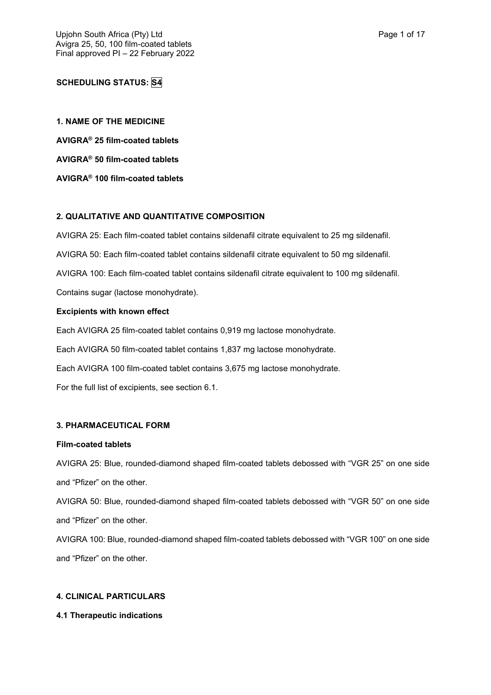# **SCHEDULING STATUS: S4**

**1. NAME OF THE MEDICINE AVIGRA® 25 film-coated tablets AVIGRA® 50 film-coated tablets AVIGRA® 100 film-coated tablets**

# **2. QUALITATIVE AND QUANTITATIVE COMPOSITION**

AVIGRA 25: Each film-coated tablet contains sildenafil citrate equivalent to 25 mg sildenafil.

AVIGRA 50: Each film-coated tablet contains sildenafil citrate equivalent to 50 mg sildenafil.

AVIGRA 100: Each film-coated tablet contains sildenafil citrate equivalent to 100 mg sildenafil.

Contains sugar (lactose monohydrate).

## **Excipients with known effect**

Each AVIGRA 25 film-coated tablet contains 0,919 mg lactose monohydrate.

Each AVIGRA 50 film-coated tablet contains 1,837 mg lactose monohydrate.

Each AVIGRA 100 film-coated tablet contains 3,675 mg lactose monohydrate.

For the full list of excipients, see section 6.1.

### **3. PHARMACEUTICAL FORM**

### **Film-coated tablets**

AVIGRA 25: Blue, rounded-diamond shaped film-coated tablets debossed with "VGR 25" on one side and "Pfizer" on the other.

AVIGRA 50: Blue, rounded-diamond shaped film-coated tablets debossed with "VGR 50" on one side and "Pfizer" on the other.

AVIGRA 100: Blue, rounded-diamond shaped film-coated tablets debossed with "VGR 100" on one side and "Pfizer" on the other.

## **4. CLINICAL PARTICULARS**

### **4.1 Therapeutic indications**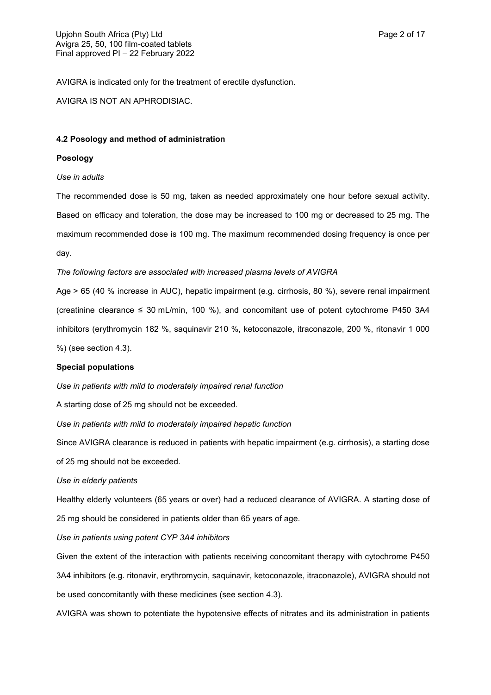AVIGRA is indicated only for the treatment of erectile dysfunction.

AVIGRA IS NOT AN APHRODISIAC.

### **4.2 Posology and method of administration**

## **Posology**

## *Use in adults*

The recommended dose is 50 mg, taken as needed approximately one hour before sexual activity. Based on efficacy and toleration, the dose may be increased to 100 mg or decreased to 25 mg. The maximum recommended dose is 100 mg. The maximum recommended dosing frequency is once per day.

## *The following factors are associated with increased plasma levels of AVIGRA*

Age > 65 (40 % increase in AUC), hepatic impairment (e.g. cirrhosis, 80 %), severe renal impairment (creatinine clearance  $\leq 30$  mL/min, 100 %), and concomitant use of potent cytochrome P450 3A4 inhibitors (erythromycin 182 %, saquinavir 210 %, ketoconazole, itraconazole, 200 %, ritonavir 1 000

%) (see section 4.3).

### **Special populations**

*Use in patients with mild to moderately impaired renal function*

A starting dose of 25 mg should not be exceeded.

*Use in patients with mild to moderately impaired hepatic function*

Since AVIGRA clearance is reduced in patients with hepatic impairment (e.g. cirrhosis), a starting dose

of 25 mg should not be exceeded.

### *Use in elderly patients*

Healthy elderly volunteers (65 years or over) had a reduced clearance of AVIGRA. A starting dose of 25 mg should be considered in patients older than 65 years of age.

## *Use in patients using potent CYP 3A4 inhibitors*

Given the extent of the interaction with patients receiving concomitant therapy with cytochrome P450 3A4 inhibitors (e.g. ritonavir, erythromycin, saquinavir, ketoconazole, itraconazole), AVIGRA should not be used concomitantly with these medicines (see section 4.3).

AVIGRA was shown to potentiate the hypotensive effects of nitrates and its administration in patients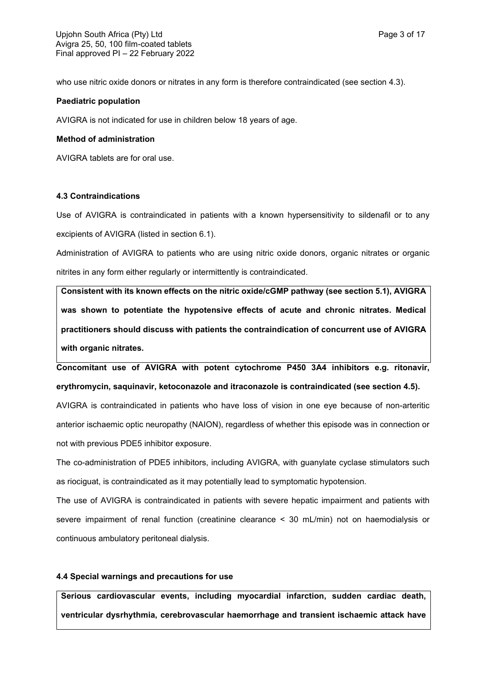who use nitric oxide donors or nitrates in any form is therefore contraindicated (see section 4.3).

## **Paediatric population**

AVIGRA is not indicated for use in children below 18 years of age.

## **Method of administration**

AVIGRA tablets are for oral use.

## **4.3 Contraindications**

Use of AVIGRA is contraindicated in patients with a known hypersensitivity to sildenafil or to any excipients of AVIGRA (listed in section 6.1).

Administration of AVIGRA to patients who are using nitric oxide donors, organic nitrates or organic nitrites in any form either regularly or intermittently is contraindicated.

**Consistent with its known effects on the nitric oxide/cGMP pathway (see section 5.1), AVIGRA was shown to potentiate the hypotensive effects of acute and chronic nitrates. Medical practitioners should discuss with patients the contraindication of concurrent use of AVIGRA with organic nitrates.**

**Concomitant use of AVIGRA with potent cytochrome P450 3A4 inhibitors e.g. ritonavir, erythromycin, saquinavir, ketoconazole and itraconazole is contraindicated (see section 4.5).**

AVIGRA is contraindicated in patients who have loss of vision in one eye because of non-arteritic anterior ischaemic optic neuropathy (NAION), regardless of whether this episode was in connection or not with previous PDE5 inhibitor exposure.

The co-administration of PDE5 inhibitors, including AVIGRA, with guanylate cyclase stimulators such as riociguat, is contraindicated as it may potentially lead to symptomatic hypotension.

The use of AVIGRA is contraindicated in patients with severe hepatic impairment and patients with severe impairment of renal function (creatinine clearance < 30 mL/min) not on haemodialysis or continuous ambulatory peritoneal dialysis.

## **4.4 Special warnings and precautions for use**

**Serious cardiovascular events, including myocardial infarction, sudden cardiac death, ventricular dysrhythmia, cerebrovascular haemorrhage and transient ischaemic attack have**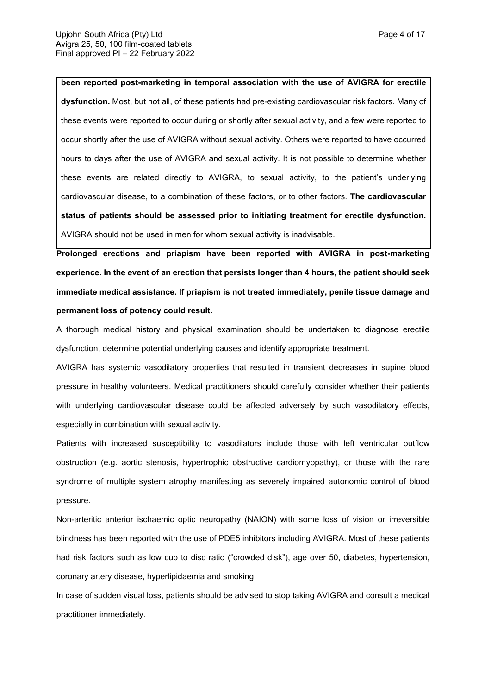**been reported post-marketing in temporal association with the use of AVIGRA for erectile dysfunction.** Most, but not all, of these patients had pre-existing cardiovascular risk factors. Many of these events were reported to occur during or shortly after sexual activity, and a few were reported to occur shortly after the use of AVIGRA without sexual activity. Others were reported to have occurred hours to days after the use of AVIGRA and sexual activity. It is not possible to determine whether these events are related directly to AVIGRA, to sexual activity, to the patient's underlying cardiovascular disease, to a combination of these factors, or to other factors. **The cardiovascular status of patients should be assessed prior to initiating treatment for erectile dysfunction.** AVIGRA should not be used in men for whom sexual activity is inadvisable.

**Prolonged erections and priapism have been reported with AVIGRA in post-marketing experience. In the event of an erection that persists longer than 4 hours, the patient should seek immediate medical assistance. If priapism is not treated immediately, penile tissue damage and permanent loss of potency could result.**

A thorough medical history and physical examination should be undertaken to diagnose erectile dysfunction, determine potential underlying causes and identify appropriate treatment.

AVIGRA has systemic vasodilatory properties that resulted in transient decreases in supine blood pressure in healthy volunteers. Medical practitioners should carefully consider whether their patients with underlying cardiovascular disease could be affected adversely by such vasodilatory effects, especially in combination with sexual activity.

Patients with increased susceptibility to vasodilators include those with left ventricular outflow obstruction (e.g. aortic stenosis, hypertrophic obstructive cardiomyopathy), or those with the rare syndrome of multiple system atrophy manifesting as severely impaired autonomic control of blood pressure.

Non-arteritic anterior ischaemic optic neuropathy (NAION) with some loss of vision or irreversible blindness has been reported with the use of PDE5 inhibitors including AVIGRA. Most of these patients had risk factors such as low cup to disc ratio ("crowded disk"), age over 50, diabetes, hypertension, coronary artery disease, hyperlipidaemia and smoking.

In case of sudden visual loss, patients should be advised to stop taking AVIGRA and consult a medical practitioner immediately.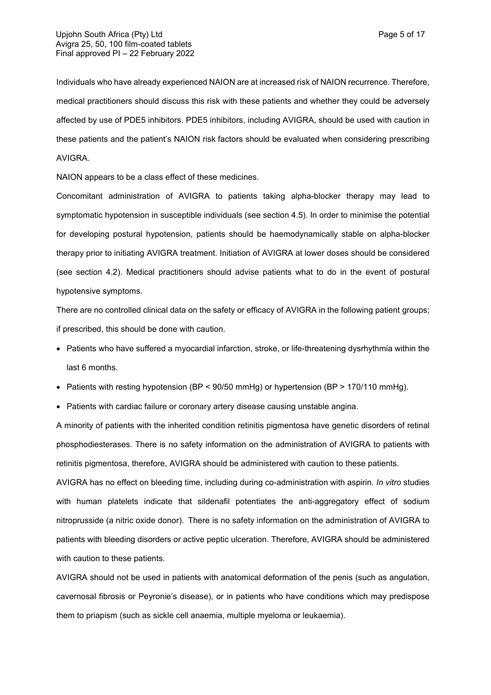Individuals who have already experienced NAION are at increased risk of NAION recurrence. Therefore, medical practitioners should discuss this risk with these patients and whether they could be adversely affected by use of PDE5 inhibitors. PDE5 inhibitors, including AVIGRA, should be used with caution in these patients and the patient's NAION risk factors should be evaluated when considering prescribing AVIGRA.

NAION appears to be a class effect of these medicines.

Concomitant administration of AVIGRA to patients taking alpha-blocker therapy may lead to symptomatic hypotension in susceptible individuals (see section 4.5). In order to minimise the potential for developing postural hypotension, patients should be haemodynamically stable on alpha-blocker therapy prior to initiating AVIGRA treatment. Initiation of AVIGRA at lower doses should be considered (see section 4.2). Medical practitioners should advise patients what to do in the event of postural hypotensive symptoms.

There are no controlled clinical data on the safety or efficacy of AVIGRA in the following patient groups; if prescribed, this should be done with caution.

- Patients who have suffered a myocardial infarction, stroke, or life-threatening dysrhythmia within the last 6 months.
- Patients with resting hypotension (BP < 90/50 mmHg) or hypertension (BP > 170/110 mmHg).
- Patients with cardiac failure or coronary artery disease causing unstable angina.

A minority of patients with the inherited condition retinitis pigmentosa have genetic disorders of retinal phosphodiesterases. There is no safety information on the administration of AVIGRA to patients with retinitis pigmentosa, therefore, AVIGRA should be administered with caution to these patients.

AVIGRA has no effect on bleeding time, including during co-administration with aspirin. *In vitro* studies with human platelets indicate that sildenafil potentiates the anti-aggregatory effect of sodium nitroprusside (a nitric oxide donor). There is no safety information on the administration of AVIGRA to patients with bleeding disorders or active peptic ulceration. Therefore, AVIGRA should be administered with caution to these patients.

AVIGRA should not be used in patients with anatomical deformation of the penis (such as angulation, cavernosal fibrosis or Peyronie's disease), or in patients who have conditions which may predispose them to priapism (such as sickle cell anaemia, multiple myeloma or leukaemia).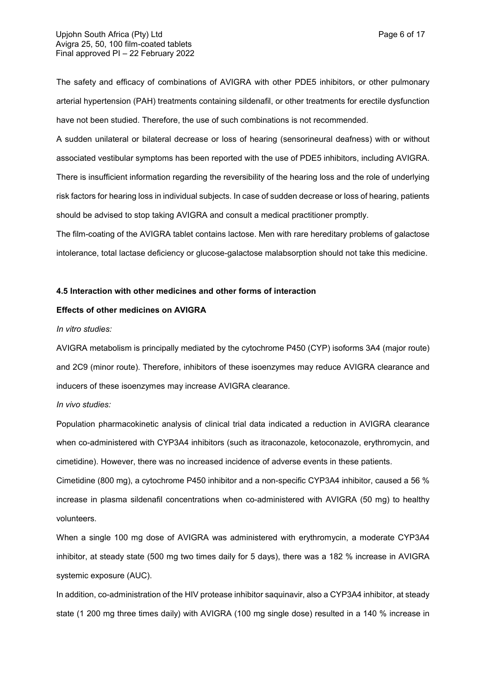The safety and efficacy of combinations of AVIGRA with other PDE5 inhibitors, or other pulmonary arterial hypertension (PAH) treatments containing sildenafil, or other treatments for erectile dysfunction have not been studied. Therefore, the use of such combinations is not recommended.

A sudden unilateral or bilateral decrease or loss of hearing (sensorineural deafness) with or without associated vestibular symptoms has been reported with the use of PDE5 inhibitors, including AVIGRA. There is insufficient information regarding the reversibility of the hearing loss and the role of underlying risk factors for hearing loss in individual subjects. In case of sudden decrease or loss of hearing, patients should be advised to stop taking AVIGRA and consult a medical practitioner promptly.

The film-coating of the AVIGRA tablet contains lactose. Men with rare hereditary problems of galactose intolerance, total lactase deficiency or glucose-galactose malabsorption should not take this medicine.

### **4.5 Interaction with other medicines and other forms of interaction**

#### **Effects of other medicines on AVIGRA**

#### *In vitro studies:*

AVIGRA metabolism is principally mediated by the cytochrome P450 (CYP) isoforms 3A4 (major route) and 2C9 (minor route). Therefore, inhibitors of these isoenzymes may reduce AVIGRA clearance and inducers of these isoenzymes may increase AVIGRA clearance.

*In vivo studies:*

Population pharmacokinetic analysis of clinical trial data indicated a reduction in AVIGRA clearance when co-administered with CYP3A4 inhibitors (such as itraconazole, ketoconazole, erythromycin, and cimetidine). However, there was no increased incidence of adverse events in these patients.

Cimetidine (800 mg), a cytochrome P450 inhibitor and a non-specific CYP3A4 inhibitor, caused a 56 % increase in plasma sildenafil concentrations when co-administered with AVIGRA (50 mg) to healthy volunteers.

When a single 100 mg dose of AVIGRA was administered with erythromycin, a moderate CYP3A4 inhibitor, at steady state (500 mg two times daily for 5 days), there was a 182 % increase in AVIGRA systemic exposure (AUC).

In addition, co-administration of the HIV protease inhibitor saquinavir, also a CYP3A4 inhibitor, at steady state (1 200 mg three times daily) with AVIGRA (100 mg single dose) resulted in a 140 % increase in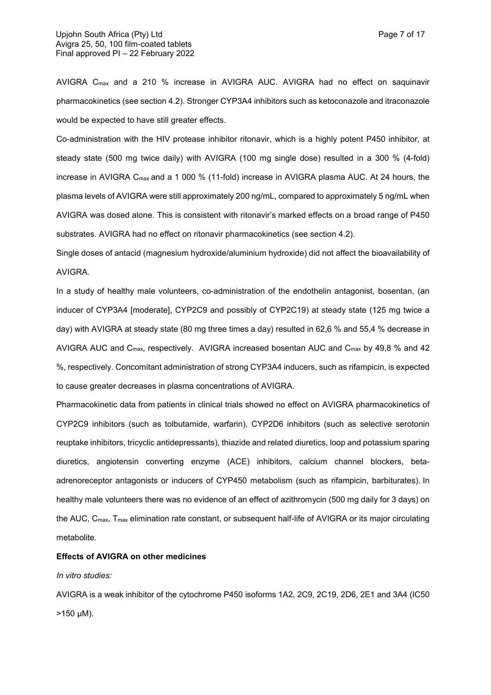AVIGRA Cmax and a 210 % increase in AVIGRA AUC. AVIGRA had no effect on saquinavir pharmacokinetics (see section 4.2). Stronger CYP3A4 inhibitors such as ketoconazole and itraconazole would be expected to have still greater effects.

Co-administration with the HIV protease inhibitor ritonavir, which is a highly potent P450 inhibitor, at steady state (500 mg twice daily) with AVIGRA (100 mg single dose) resulted in a 300 % (4-fold) increase in AVIGRA C<sub>max</sub> and a 1 000 % (11-fold) increase in AVIGRA plasma AUC. At 24 hours, the plasma levels of AVIGRA were still approximately 200 ng/mL, compared to approximately 5 ng/mL when AVIGRA was dosed alone. This is consistent with ritonavir's marked effects on a broad range of P450 substrates. AVIGRA had no effect on ritonavir pharmacokinetics (see section 4.2).

Single doses of antacid (magnesium hydroxide/aluminium hydroxide) did not affect the bioavailability of AVIGRA.

In a study of healthy male volunteers, co-administration of the endothelin antagonist, bosentan, (an inducer of CYP3A4 [moderate], CYP2C9 and possibly of CYP2C19) at steady state (125 mg twice a day) with AVIGRA at steady state (80 mg three times a day) resulted in 62,6 % and 55,4 % decrease in AVIGRA AUC and C<sub>max</sub>, respectively. AVIGRA increased bosentan AUC and C<sub>max</sub> by 49,8 % and 42 %, respectively. Concomitant administration of strong CYP3A4 inducers, such as rifampicin, is expected to cause greater decreases in plasma concentrations of AVIGRA.

Pharmacokinetic data from patients in clinical trials showed no effect on AVIGRA pharmacokinetics of CYP2C9 inhibitors (such as tolbutamide, warfarin), CYP2D6 inhibitors (such as selective serotonin reuptake inhibitors, tricyclic antidepressants), thiazide and related diuretics, loop and potassium sparing diuretics, angiotensin converting enzyme (ACE) inhibitors, calcium channel blockers, betaadrenoreceptor antagonists or inducers of CYP450 metabolism (such as rifampicin, barbiturates). In healthy male volunteers there was no evidence of an effect of azithromycin (500 mg daily for 3 days) on the AUC, C<sub>max</sub>, T<sub>max</sub> elimination rate constant, or subsequent half-life of AVIGRA or its major circulating metabolite.

### **Effects of AVIGRA on other medicines**

### *In vitro studies:*

AVIGRA is a weak inhibitor of the cytochrome P450 isoforms 1A2, 2C9, 2C19, 2D6, 2E1 and 3A4 (IC50  $>150 \mu M$ ).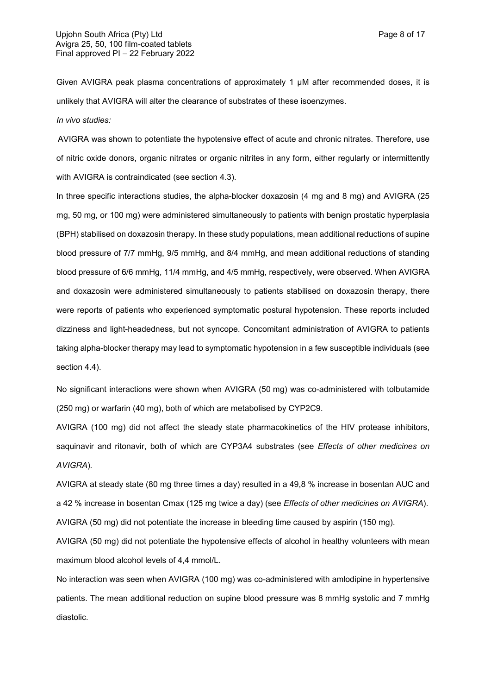Given AVIGRA peak plasma concentrations of approximately 1 µM after recommended doses, it is unlikely that AVIGRA will alter the clearance of substrates of these isoenzymes.

*In vivo studies:*

AVIGRA was shown to potentiate the hypotensive effect of acute and chronic nitrates. Therefore, use of nitric oxide donors, organic nitrates or organic nitrites in any form, either regularly or intermittently with AVIGRA is contraindicated (see section 4.3).

In three specific interactions studies, the alpha-blocker doxazosin (4 mg and 8 mg) and AVIGRA (25 mg, 50 mg, or 100 mg) were administered simultaneously to patients with benign prostatic hyperplasia (BPH) stabilised on doxazosin therapy. In these study populations, mean additional reductions of supine blood pressure of 7/7 mmHg, 9/5 mmHg, and 8/4 mmHg, and mean additional reductions of standing blood pressure of 6/6 mmHg, 11/4 mmHg, and 4/5 mmHg, respectively, were observed. When AVIGRA and doxazosin were administered simultaneously to patients stabilised on doxazosin therapy, there were reports of patients who experienced symptomatic postural hypotension. These reports included dizziness and light-headedness, but not syncope. Concomitant administration of AVIGRA to patients taking alpha-blocker therapy may lead to symptomatic hypotension in a few susceptible individuals (see section 4.4).

No significant interactions were shown when AVIGRA (50 mg) was co-administered with tolbutamide (250 mg) or warfarin (40 mg), both of which are metabolised by CYP2C9.

AVIGRA (100 mg) did not affect the steady state pharmacokinetics of the HIV protease inhibitors, saquinavir and ritonavir, both of which are CYP3A4 substrates (see *Effects of other medicines on AVIGRA*)*.*

AVIGRA at steady state (80 mg three times a day) resulted in a 49,8 % increase in bosentan AUC and a 42 % increase in bosentan Cmax (125 mg twice a day) (see *Effects of other medicines on AVIGRA*). AVIGRA (50 mg) did not potentiate the increase in bleeding time caused by aspirin (150 mg).

AVIGRA (50 mg) did not potentiate the hypotensive effects of alcohol in healthy volunteers with mean maximum blood alcohol levels of 4,4 mmol/L.

No interaction was seen when AVIGRA (100 mg) was co-administered with amlodipine in hypertensive patients. The mean additional reduction on supine blood pressure was 8 mmHg systolic and 7 mmHg diastolic.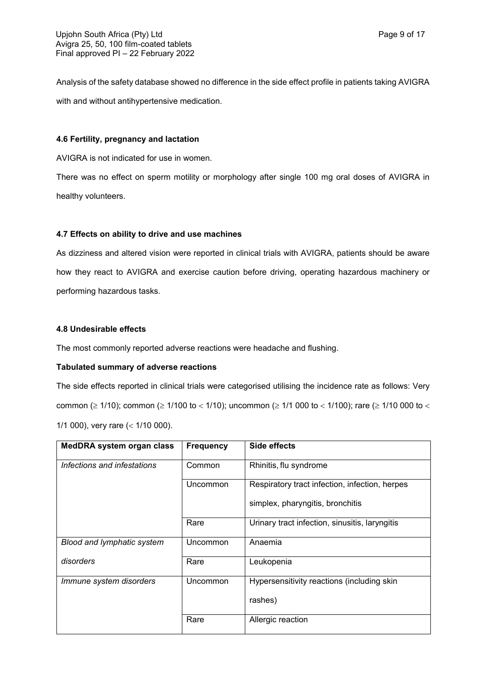Analysis of the safety database showed no difference in the side effect profile in patients taking AVIGRA with and without antihypertensive medication.

### **4.6 Fertility, pregnancy and lactation**

AVIGRA is not indicated for use in women.

There was no effect on sperm motility or morphology after single 100 mg oral doses of AVIGRA in healthy volunteers.

## **4.7 Effects on ability to drive and use machines**

As dizziness and altered vision were reported in clinical trials with AVIGRA, patients should be aware how they react to AVIGRA and exercise caution before driving, operating hazardous machinery or performing hazardous tasks.

## **4.8 Undesirable effects**

The most commonly reported adverse reactions were headache and flushing.

## **Tabulated summary of adverse reactions**

The side effects reported in clinical trials were categorised utilising the incidence rate as follows: Very common ( $\geq$  1/10); common ( $\geq$  1/100 to < 1/10); uncommon ( $\geq$  1/1 000 to < 1/100); rare ( $\geq$  1/10 000 to < 1/1 000), very rare  $($  < 1/10 000).

| <b>MedDRA system organ class</b> | <b>Frequency</b> | Side effects                                   |
|----------------------------------|------------------|------------------------------------------------|
| Infections and infestations      | Common           | Rhinitis, flu syndrome                         |
|                                  | Uncommon         | Respiratory tract infection, infection, herpes |
|                                  |                  | simplex, pharyngitis, bronchitis               |
|                                  | Rare             | Urinary tract infection, sinusitis, laryngitis |
| Blood and lymphatic system       | Uncommon         | Anaemia                                        |
| disorders                        | Rare             | Leukopenia                                     |
| Immune system disorders          | Uncommon         | Hypersensitivity reactions (including skin     |
|                                  |                  | rashes)                                        |
|                                  | Rare             | Allergic reaction                              |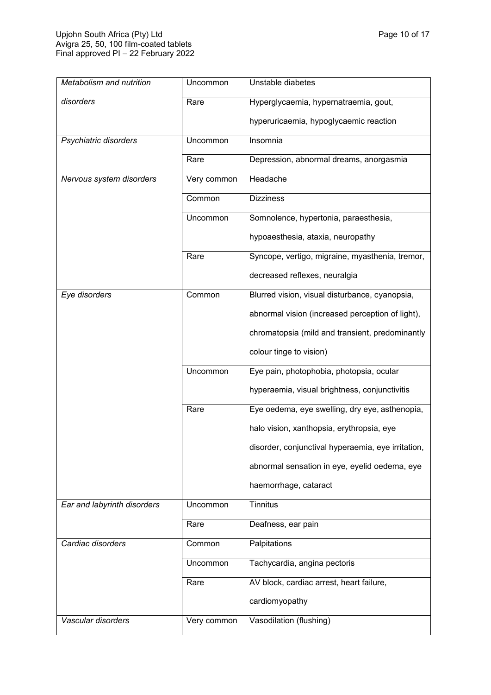| Metabolism and nutrition    | Uncommon    | Unstable diabetes                                  |
|-----------------------------|-------------|----------------------------------------------------|
| disorders                   | Rare        | Hyperglycaemia, hypernatraemia, gout,              |
|                             |             | hyperuricaemia, hypoglycaemic reaction             |
| Psychiatric disorders       | Uncommon    | Insomnia                                           |
|                             | Rare        | Depression, abnormal dreams, anorgasmia            |
| Nervous system disorders    | Very common | Headache                                           |
|                             | Common      | <b>Dizziness</b>                                   |
|                             | Uncommon    | Somnolence, hypertonia, paraesthesia,              |
|                             |             | hypoaesthesia, ataxia, neuropathy                  |
|                             | Rare        | Syncope, vertigo, migraine, myasthenia, tremor,    |
|                             |             | decreased reflexes, neuralgia                      |
| Eye disorders               | Common      | Blurred vision, visual disturbance, cyanopsia,     |
|                             |             | abnormal vision (increased perception of light),   |
|                             |             | chromatopsia (mild and transient, predominantly    |
|                             |             | colour tinge to vision)                            |
|                             | Uncommon    | Eye pain, photophobia, photopsia, ocular           |
|                             |             | hyperaemia, visual brightness, conjunctivitis      |
|                             | Rare        | Eye oedema, eye swelling, dry eye, asthenopia,     |
|                             |             | halo vision, xanthopsia, erythropsia, eye          |
|                             |             | disorder, conjunctival hyperaemia, eye irritation, |
|                             |             | abnormal sensation in eye, eyelid oedema, eye      |
|                             |             | haemorrhage, cataract                              |
| Ear and labyrinth disorders | Uncommon    | <b>Tinnitus</b>                                    |
|                             | Rare        | Deafness, ear pain                                 |
| Cardiac disorders           | Common      | Palpitations                                       |
|                             | Uncommon    | Tachycardia, angina pectoris                       |
|                             | Rare        | AV block, cardiac arrest, heart failure,           |
|                             |             | cardiomyopathy                                     |
| Vascular disorders          | Very common | Vasodilation (flushing)                            |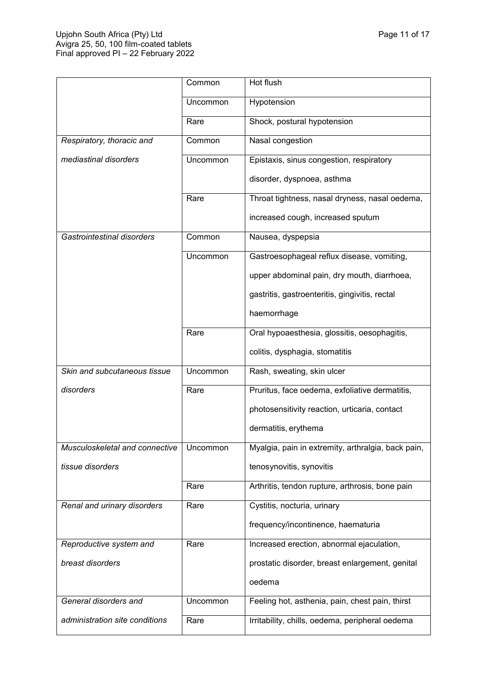|                                           | Common   | Hot flush                                          |
|-------------------------------------------|----------|----------------------------------------------------|
|                                           | Uncommon | Hypotension                                        |
|                                           | Rare     | Shock, postural hypotension                        |
| Respiratory, thoracic and                 | Common   | Nasal congestion                                   |
| mediastinal disorders                     | Uncommon | Epistaxis, sinus congestion, respiratory           |
|                                           |          | disorder, dyspnoea, asthma                         |
|                                           | Rare     | Throat tightness, nasal dryness, nasal oedema,     |
|                                           |          | increased cough, increased sputum                  |
| Gastrointestinal disorders                | Common   | Nausea, dyspepsia                                  |
|                                           | Uncommon | Gastroesophageal reflux disease, vomiting,         |
|                                           |          | upper abdominal pain, dry mouth, diarrhoea,        |
|                                           |          | gastritis, gastroenteritis, gingivitis, rectal     |
|                                           |          | haemorrhage                                        |
|                                           | Rare     | Oral hypoaesthesia, glossitis, oesophagitis,       |
|                                           |          | colitis, dysphagia, stomatitis                     |
| Skin and subcutaneous tissue              | Uncommon | Rash, sweating, skin ulcer                         |
| disorders                                 | Rare     | Pruritus, face oedema, exfoliative dermatitis,     |
|                                           |          | photosensitivity reaction, urticaria, contact      |
|                                           |          | dermatitis, erythema                               |
| Musculoskeletal and connective   Uncommon |          | Myalgia, pain in extremity, arthralgia, back pain, |
| tissue disorders                          |          | tenosynovitis, synovitis                           |
|                                           | Rare     | Arthritis, tendon rupture, arthrosis, bone pain    |
| Renal and urinary disorders               | Rare     | Cystitis, nocturia, urinary                        |
|                                           |          | frequency/incontinence, haematuria                 |
| Reproductive system and                   | Rare     | Increased erection, abnormal ejaculation,          |
| breast disorders                          |          | prostatic disorder, breast enlargement, genital    |
|                                           |          | oedema                                             |
| General disorders and                     | Uncommon | Feeling hot, asthenia, pain, chest pain, thirst    |
| administration site conditions            | Rare     | Irritability, chills, oedema, peripheral oedema    |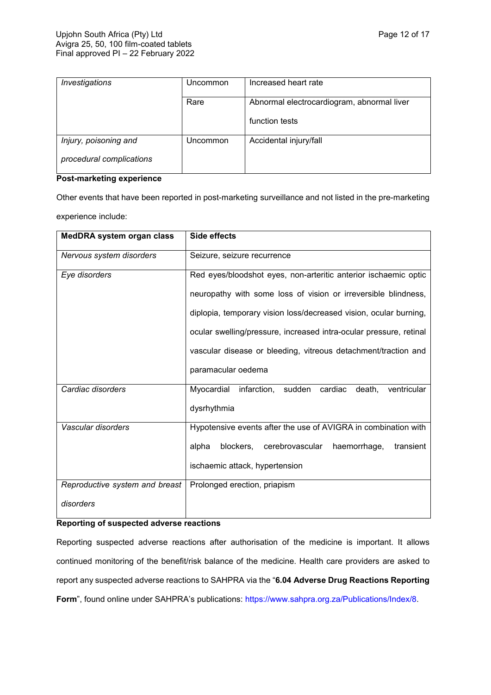| Investigations           | Uncommon | Increased heart rate                       |
|--------------------------|----------|--------------------------------------------|
|                          | Rare     | Abnormal electrocardiogram, abnormal liver |
|                          |          | function tests                             |
| Injury, poisoning and    | Jncommon | Accidental injury/fall                     |
| procedural complications |          |                                            |

## **Post-marketing experience**

Other events that have been reported in post-marketing surveillance and not listed in the pre-marketing experience include:

| MedDRA system organ class      | <b>Side effects</b>                                                |  |  |
|--------------------------------|--------------------------------------------------------------------|--|--|
| Nervous system disorders       | Seizure, seizure recurrence                                        |  |  |
| Eye disorders                  | Red eyes/bloodshot eyes, non-arteritic anterior ischaemic optic    |  |  |
|                                | neuropathy with some loss of vision or irreversible blindness,     |  |  |
|                                | diplopia, temporary vision loss/decreased vision, ocular burning,  |  |  |
|                                | ocular swelling/pressure, increased intra-ocular pressure, retinal |  |  |
|                                | vascular disease or bleeding, vitreous detachment/traction and     |  |  |
|                                | paramacular oedema                                                 |  |  |
| Cardiac disorders              | infarction, sudden cardiac<br>Myocardial<br>ventricular<br>death.  |  |  |
|                                | dysrhythmia                                                        |  |  |
| Vascular disorders             | Hypotensive events after the use of AVIGRA in combination with     |  |  |
|                                | cerebrovascular<br>alpha<br>blockers,<br>haemorrhage,<br>transient |  |  |
|                                | ischaemic attack, hypertension                                     |  |  |
| Reproductive system and breast | Prolonged erection, priapism                                       |  |  |
| disorders                      |                                                                    |  |  |

### **Reporting of suspected adverse reactions**

Reporting suspected adverse reactions after authorisation of the medicine is important. It allows continued monitoring of the benefit/risk balance of the medicine. Health care providers are asked to report any suspected adverse reactions to SAHPRA via the "**6.04 Adverse Drug Reactions Reporting**  Form", found online under SAHPRA's publications:<https://www.sahpra.org.za/Publications/Index/8>.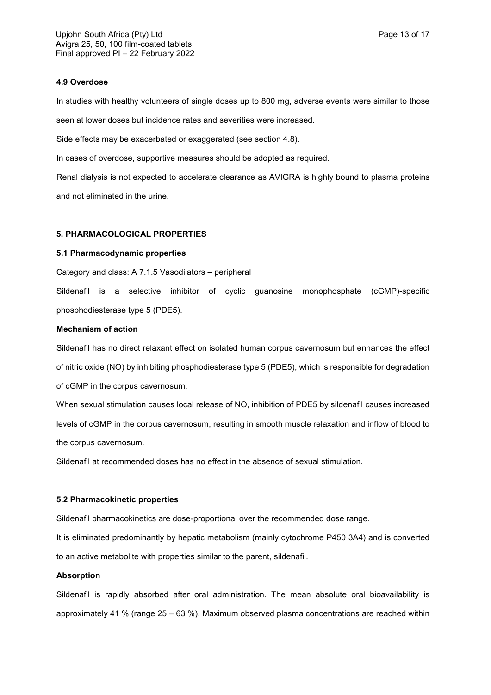### **4.9 Overdose**

In studies with healthy volunteers of single doses up to 800 mg, adverse events were similar to those seen at lower doses but incidence rates and severities were increased.

Side effects may be exacerbated or exaggerated (see section 4.8).

In cases of overdose, supportive measures should be adopted as required.

Renal dialysis is not expected to accelerate clearance as AVIGRA is highly bound to plasma proteins and not eliminated in the urine.

#### **5. PHARMACOLOGICAL PROPERTIES**

#### **5.1 Pharmacodynamic properties**

Category and class: A 7.1.5 Vasodilators – peripheral

Sildenafil is a selective inhibitor of cyclic guanosine monophosphate (cGMP)-specific phosphodiesterase type 5 (PDE5).

### **Mechanism of action**

Sildenafil has no direct relaxant effect on isolated human corpus cavernosum but enhances the effect of nitric oxide (NO) by inhibiting phosphodiesterase type 5 (PDE5), which is responsible for degradation of cGMP in the corpus cavernosum.

When sexual stimulation causes local release of NO, inhibition of PDE5 by sildenafil causes increased levels of cGMP in the corpus cavernosum, resulting in smooth muscle relaxation and inflow of blood to the corpus cavernosum.

Sildenafil at recommended doses has no effect in the absence of sexual stimulation.

#### **5.2 Pharmacokinetic properties**

Sildenafil pharmacokinetics are dose-proportional over the recommended dose range.

It is eliminated predominantly by hepatic metabolism (mainly cytochrome P450 3A4) and is converted to an active metabolite with properties similar to the parent, sildenafil.

### **Absorption**

Sildenafil is rapidly absorbed after oral administration. The mean absolute oral bioavailability is approximately 41 % (range 25 – 63 %). Maximum observed plasma concentrations are reached within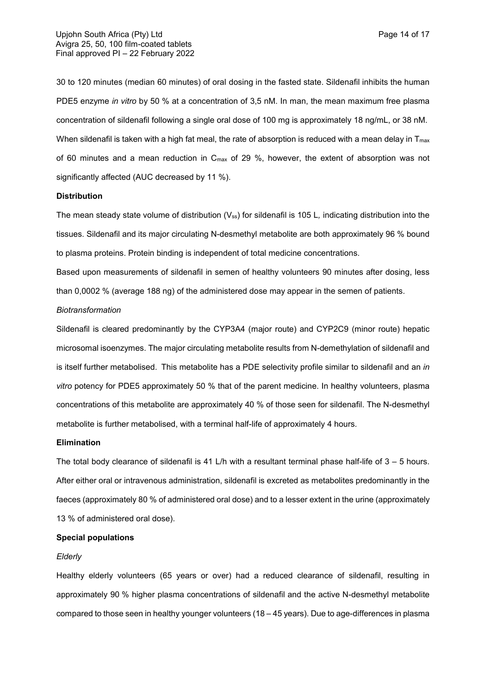30 to 120 minutes (median 60 minutes) of oral dosing in the fasted state. Sildenafil inhibits the human PDE5 enzyme *in vitro* by 50 % at a concentration of 3,5 nM. In man, the mean maximum free plasma concentration of sildenafil following a single oral dose of 100 mg is approximately 18 ng/mL, or 38 nM. When sildenafil is taken with a high fat meal, the rate of absorption is reduced with a mean delay in  $T_{\text{max}}$ of 60 minutes and a mean reduction in Cmax of 29 %, however, the extent of absorption was not significantly affected (AUC decreased by 11 %).

#### **Distribution**

The mean steady state volume of distribution (V<sub>ss</sub>) for sildenafil is 105 L, indicating distribution into the tissues. Sildenafil and its major circulating N-desmethyl metabolite are both approximately 96 % bound to plasma proteins. Protein binding is independent of total medicine concentrations.

Based upon measurements of sildenafil in semen of healthy volunteers 90 minutes after dosing, less than 0,0002 % (average 188 ng) of the administered dose may appear in the semen of patients.

#### *Biotransformation*

Sildenafil is cleared predominantly by the CYP3A4 (major route) and CYP2C9 (minor route) hepatic microsomal isoenzymes. The major circulating metabolite results from N-demethylation of sildenafil and is itself further metabolised. This metabolite has a PDE selectivity profile similar to sildenafil and an *in vitro* potency for PDE5 approximately 50 % that of the parent medicine. In healthy volunteers, plasma concentrations of this metabolite are approximately 40 % of those seen for sildenafil. The N-desmethyl metabolite is further metabolised, with a terminal half-life of approximately 4 hours.

### **Elimination**

The total body clearance of sildenafil is 41 L/h with a resultant terminal phase half-life of  $3 - 5$  hours. After either oral or intravenous administration, sildenafil is excreted as metabolites predominantly in the faeces (approximately 80 % of administered oral dose) and to a lesser extent in the urine (approximately 13 % of administered oral dose).

#### **Special populations**

#### *Elderly*

Healthy elderly volunteers (65 years or over) had a reduced clearance of sildenafil, resulting in approximately 90 % higher plasma concentrations of sildenafil and the active N-desmethyl metabolite compared to those seen in healthy younger volunteers (18 – 45 years). Due to age-differences in plasma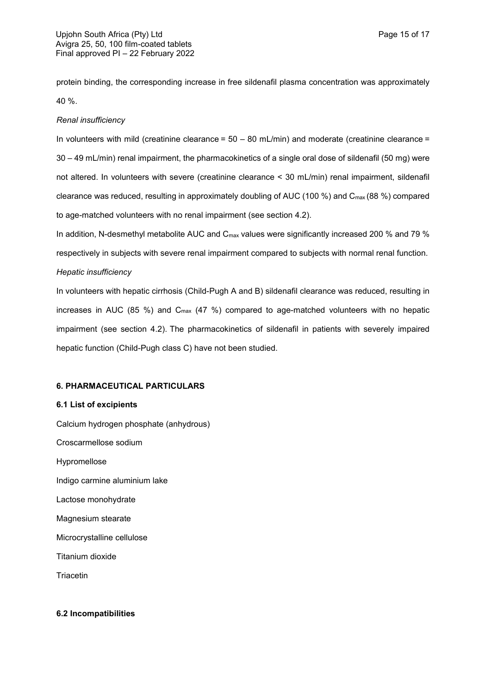protein binding, the corresponding increase in free sildenafil plasma concentration was approximately 40 %.

## *Renal insufficiency*

In volunteers with mild (creatinine clearance =  $50 - 80$  mL/min) and moderate (creatinine clearance = 30 – 49 mL/min) renal impairment, the pharmacokinetics of a single oral dose of sildenafil (50 mg) were not altered. In volunteers with severe (creatinine clearance < 30 mL/min) renal impairment, sildenafil clearance was reduced, resulting in approximately doubling of AUC (100 %) and Cmax (88 %) compared to age-matched volunteers with no renal impairment (see section 4.2).

In addition, N-desmethyl metabolite AUC and  $C_{\text{max}}$  values were significantly increased 200 % and 79 % respectively in subjects with severe renal impairment compared to subjects with normal renal function. *Hepatic insufficiency*

In volunteers with hepatic cirrhosis (Child-Pugh A and B) sildenafil clearance was reduced, resulting in increases in AUC (85 %) and  $C_{\text{max}}$  (47 %) compared to age-matched volunteers with no hepatic impairment (see section 4.2). The pharmacokinetics of sildenafil in patients with severely impaired hepatic function (Child-Pugh class C) have not been studied.

## **6. PHARMACEUTICAL PARTICULARS**

### **6.1 List of excipients**

Calcium hydrogen phosphate (anhydrous) Croscarmellose sodium Hypromellose Indigo carmine aluminium lake Lactose monohydrate Magnesium stearate Microcrystalline cellulose Titanium dioxide

**Triacetin** 

### **6.2 Incompatibilities**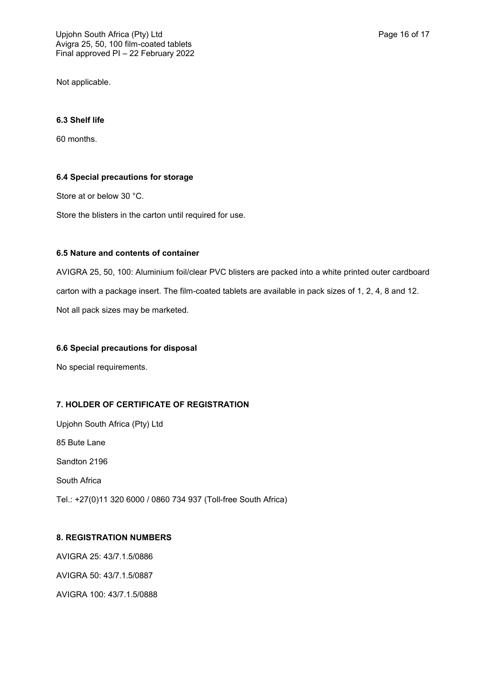Not applicable.

## **6.3 Shelf life**

60 months.

## **6.4 Special precautions for storage**

Store at or below 30 °C.

Store the blisters in the carton until required for use.

## **6.5 Nature and contents of container**

AVIGRA 25, 50, 100: Aluminium foil/clear PVC blisters are packed into a white printed outer cardboard carton with a package insert. The film-coated tablets are available in pack sizes of 1, 2, 4, 8 and 12. Not all pack sizes may be marketed.

## **6.6 Special precautions for disposal**

No special requirements.

# **7. HOLDER OF CERTIFICATE OF REGISTRATION**

Upjohn South Africa (Pty) Ltd 85 Bute Lane Sandton 2196 South Africa Tel.: +27(0)11 320 6000 / 0860 734 937 (Toll-free South Africa)

## **8. REGISTRATION NUMBERS**

AVIGRA 25: 43/7.1.5/0886 AVIGRA 50: 43/7.1.5/0887 AVIGRA 100: 43/7.1.5/0888